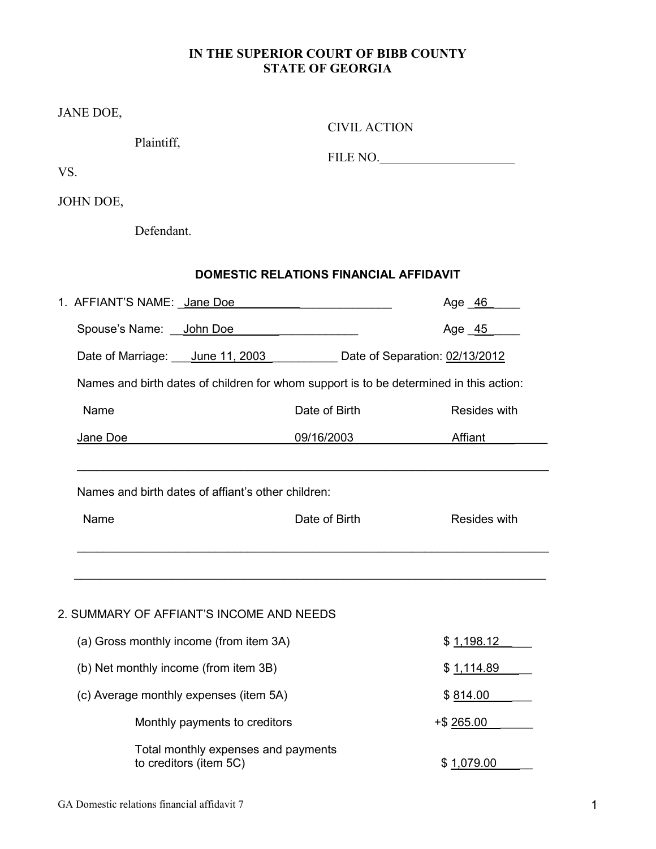# **IN THE SUPERIOR COURT OF BIBB COUNTY STATE OF GEORGIA**

| JANE DOE,<br>Plaintiff,                                                                | <b>CIVIL ACTION</b>                           |               |  |  |
|----------------------------------------------------------------------------------------|-----------------------------------------------|---------------|--|--|
| VS.                                                                                    |                                               | FILE NO.      |  |  |
| JOHN DOE,                                                                              |                                               |               |  |  |
| Defendant.                                                                             |                                               |               |  |  |
|                                                                                        | <b>DOMESTIC RELATIONS FINANCIAL AFFIDAVIT</b> |               |  |  |
| 1. AFFIANT'S NAME: Jane Doe                                                            |                                               | Age <u>46</u> |  |  |
| Spouse's Name: John Doe                                                                |                                               | Age 45        |  |  |
| Date of Marriage: June 11, 2003 Date of Separation: 02/13/2012                         |                                               |               |  |  |
| Names and birth dates of children for whom support is to be determined in this action: |                                               |               |  |  |
| Name                                                                                   | Date of Birth                                 |               |  |  |
| Jane Doe                                                                               | 09/16/2003                                    | Affiant       |  |  |
| Names and birth dates of affiant's other children:                                     |                                               |               |  |  |
| Name                                                                                   | Date of Birth                                 | Resides with  |  |  |
|                                                                                        |                                               |               |  |  |
| 2. SUMMARY OF AFFIANT'S INCOME AND NEEDS                                               |                                               |               |  |  |
| (a) Gross monthly income (from item 3A)                                                |                                               | \$1,198.12    |  |  |
| (b) Net monthly income (from item 3B)                                                  |                                               | \$1,114.89    |  |  |
| (c) Average monthly expenses (item 5A)                                                 |                                               | \$814.00      |  |  |
| Monthly payments to creditors                                                          |                                               | +\$ 265.00    |  |  |

to creditors (item 5C)  $$1,079.00$ 

Total monthly expenses and payments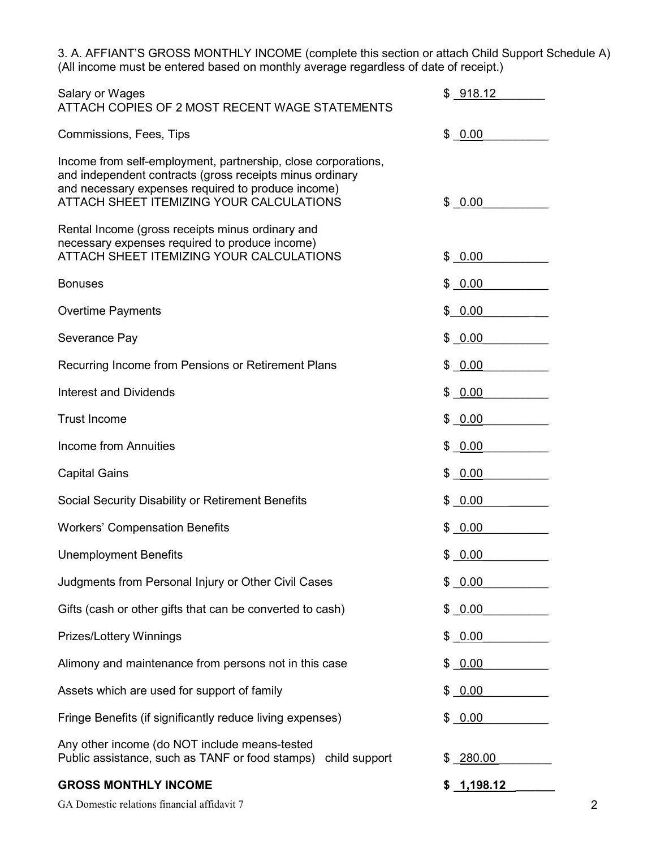3. A. AFFIANT'S GROSS MONTHLY INCOME (complete this section or attach Child Support Schedule A) (All income must be entered based on monthly average regardless of date of receipt.)

| <b>GROSS MONTHLY INCOME</b>                                                                                                                                                                                                 | \$ 1,198.12 |
|-----------------------------------------------------------------------------------------------------------------------------------------------------------------------------------------------------------------------------|-------------|
| Any other income (do NOT include means-tested<br>Public assistance, such as TANF or food stamps) child support                                                                                                              | \$ 280.00   |
| Fringe Benefits (if significantly reduce living expenses)                                                                                                                                                                   | \$0.00      |
| Assets which are used for support of family                                                                                                                                                                                 | \$ 0.00     |
| Alimony and maintenance from persons not in this case                                                                                                                                                                       | \$ 0.00     |
| Prizes/Lottery Winnings                                                                                                                                                                                                     | \$0.00      |
| Gifts (cash or other gifts that can be converted to cash)                                                                                                                                                                   | \$0.00      |
| Judgments from Personal Injury or Other Civil Cases                                                                                                                                                                         | \$0.00      |
| <b>Unemployment Benefits</b>                                                                                                                                                                                                | \$ 0.00     |
| <b>Workers' Compensation Benefits</b>                                                                                                                                                                                       | \$ 0.00     |
| Social Security Disability or Retirement Benefits                                                                                                                                                                           | \$ 0.00     |
| <b>Capital Gains</b>                                                                                                                                                                                                        | \$ 0.00     |
| <b>Income from Annuities</b>                                                                                                                                                                                                | \$ 0.00     |
| <b>Trust Income</b>                                                                                                                                                                                                         | \$ 0.00     |
| <b>Interest and Dividends</b>                                                                                                                                                                                               | \$ 0.00     |
| Recurring Income from Pensions or Retirement Plans                                                                                                                                                                          | \$ 0.00     |
| Severance Pay                                                                                                                                                                                                               | \$ 0.00     |
| <b>Overtime Payments</b>                                                                                                                                                                                                    | \$0.00      |
| <b>Bonuses</b>                                                                                                                                                                                                              | \$ 0.00     |
| Rental Income (gross receipts minus ordinary and<br>necessary expenses required to produce income)<br>ATTACH SHEET ITEMIZING YOUR CALCULATIONS                                                                              | \$ 0.00     |
| Income from self-employment, partnership, close corporations,<br>and independent contracts (gross receipts minus ordinary<br>and necessary expenses required to produce income)<br>ATTACH SHEET ITEMIZING YOUR CALCULATIONS | \$0.00      |
| Commissions, Fees, Tips                                                                                                                                                                                                     | \$ 0.00     |
| Salary or Wages<br>ATTACH COPIES OF 2 MOST RECENT WAGE STATEMENTS                                                                                                                                                           | \$ 918.12   |

GA Domestic relations financial affidavit 7 2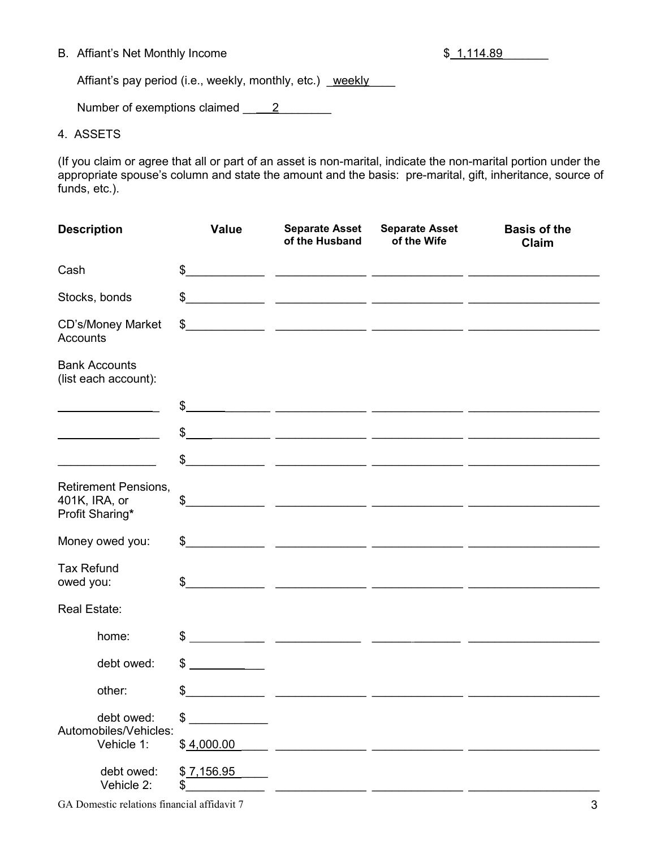### B. Affiant's Net Monthly Income  $\frac{1}{2}$  sets and  $\frac{1}{2}$  sets and  $\frac{1}{2}$  sets and  $\frac{1}{2}$  sets and  $\frac{1}{2}$  sets and  $\frac{1}{2}$  sets and  $\frac{1}{2}$  sets and  $\frac{1}{2}$  sets and  $\frac{1}{2}$  sets and  $\frac{1}{2}$  sets and

Affiant's pay period (i.e., weekly, monthly, etc.) weekly

Number of exemptions claimed \_\_ 2\_\_\_\_\_\_\_\_

### 4. ASSETS

(If you claim or agree that all or part of an asset is non-marital, indicate the non-marital portion under the appropriate spouse's column and state the amount and the basis: pre-marital, gift, inheritance, source of funds, etc.).

| <b>Description</b>                                              | <b>Value</b>     | <b>Separate Asset</b><br>of the Husband                                                                                                                                                                                                                                                                             | <b>Separate Asset</b><br>of the Wife | <b>Basis of the</b><br>Claim |
|-----------------------------------------------------------------|------------------|---------------------------------------------------------------------------------------------------------------------------------------------------------------------------------------------------------------------------------------------------------------------------------------------------------------------|--------------------------------------|------------------------------|
| Cash                                                            |                  | $\frac{1}{2}$                                                                                                                                                                                                                                                                                                       |                                      |                              |
| Stocks, bonds                                                   |                  |                                                                                                                                                                                                                                                                                                                     |                                      | $\frac{1}{2}$                |
| CD's/Money Market<br>Accounts                                   | $\frac{2}{3}$    |                                                                                                                                                                                                                                                                                                                     |                                      |                              |
| <b>Bank Accounts</b><br>(list each account):                    |                  |                                                                                                                                                                                                                                                                                                                     |                                      |                              |
|                                                                 |                  | $\frac{1}{2}$                                                                                                                                                                                                                                                                                                       |                                      |                              |
|                                                                 |                  |                                                                                                                                                                                                                                                                                                                     |                                      |                              |
|                                                                 |                  | $\frac{1}{2}$                                                                                                                                                                                                                                                                                                       |                                      |                              |
| <b>Retirement Pensions,</b><br>401K, IRA, or<br>Profit Sharing* | \$               | <u> 2000 - 2000 - 2000 - 2000 - 2000 - 2000 - 2000 - 2000 - 2000 - 2000 - 2000 - 2000 - 2000 - 2000 - 2000 - 200</u>                                                                                                                                                                                                |                                      |                              |
| Money owed you:                                                 | $\mathbb S$      |                                                                                                                                                                                                                                                                                                                     |                                      |                              |
| <b>Tax Refund</b><br>owed you:                                  | \$               |                                                                                                                                                                                                                                                                                                                     |                                      |                              |
| Real Estate:                                                    |                  |                                                                                                                                                                                                                                                                                                                     |                                      |                              |
| home:                                                           |                  | $\frac{1}{2}$ $\frac{1}{2}$ $\frac{1}{2}$ $\frac{1}{2}$ $\frac{1}{2}$ $\frac{1}{2}$ $\frac{1}{2}$ $\frac{1}{2}$ $\frac{1}{2}$ $\frac{1}{2}$ $\frac{1}{2}$ $\frac{1}{2}$ $\frac{1}{2}$ $\frac{1}{2}$ $\frac{1}{2}$ $\frac{1}{2}$ $\frac{1}{2}$ $\frac{1}{2}$ $\frac{1}{2}$ $\frac{1}{2}$ $\frac{1}{2}$ $\frac{1}{2}$ |                                      |                              |
| debt owed:                                                      | \$               |                                                                                                                                                                                                                                                                                                                     |                                      |                              |
| other:                                                          | \$               |                                                                                                                                                                                                                                                                                                                     |                                      |                              |
| debt owed:                                                      | \$               |                                                                                                                                                                                                                                                                                                                     |                                      |                              |
| Automobiles/Vehicles:<br>Vehicle 1:                             | \$4,000.00       |                                                                                                                                                                                                                                                                                                                     |                                      |                              |
| debt owed:<br>Vehicle 2:                                        | \$7,156.95<br>\$ |                                                                                                                                                                                                                                                                                                                     |                                      |                              |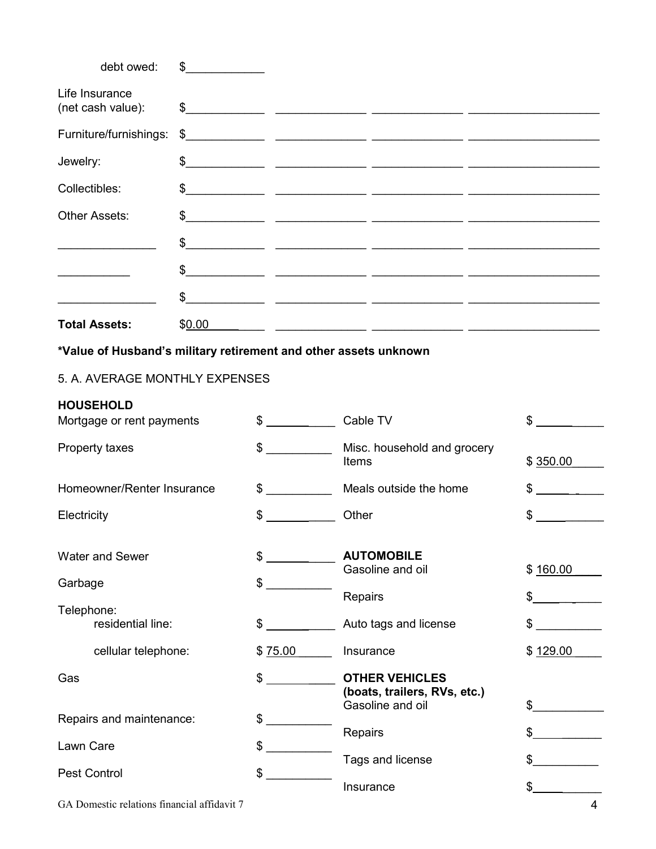| debt owed:                                                       | $\frac{1}{\sqrt{1-\frac{1}{2}}}\frac{1}{\sqrt{1-\frac{1}{2}}}\frac{1}{\sqrt{1-\frac{1}{2}}}\frac{1}{\sqrt{1-\frac{1}{2}}}\frac{1}{\sqrt{1-\frac{1}{2}}}\frac{1}{\sqrt{1-\frac{1}{2}}}\frac{1}{\sqrt{1-\frac{1}{2}}}\frac{1}{\sqrt{1-\frac{1}{2}}}\frac{1}{\sqrt{1-\frac{1}{2}}}\frac{1}{\sqrt{1-\frac{1}{2}}}\frac{1}{\sqrt{1-\frac{1}{2}}}\frac{1}{\sqrt{1-\frac{1}{2}}}\frac{1}{\sqrt{1-\frac{1}{2}}}\frac{1}{\sqrt{1-\frac{$ |               |                                                                                                                       |              |
|------------------------------------------------------------------|---------------------------------------------------------------------------------------------------------------------------------------------------------------------------------------------------------------------------------------------------------------------------------------------------------------------------------------------------------------------------------------------------------------------------------|---------------|-----------------------------------------------------------------------------------------------------------------------|--------------|
| Life Insurance<br>(net cash value):                              |                                                                                                                                                                                                                                                                                                                                                                                                                                 |               |                                                                                                                       |              |
| Furniture/furnishings:                                           |                                                                                                                                                                                                                                                                                                                                                                                                                                 |               | $\frac{1}{2}$                                                                                                         |              |
| Jewelry:                                                         |                                                                                                                                                                                                                                                                                                                                                                                                                                 |               |                                                                                                                       |              |
| Collectibles:                                                    |                                                                                                                                                                                                                                                                                                                                                                                                                                 |               |                                                                                                                       |              |
| Other Assets:                                                    | \$                                                                                                                                                                                                                                                                                                                                                                                                                              |               |                                                                                                                       |              |
|                                                                  |                                                                                                                                                                                                                                                                                                                                                                                                                                 |               | $\frac{1}{2}$                                                                                                         |              |
|                                                                  |                                                                                                                                                                                                                                                                                                                                                                                                                                 |               | $\frac{1}{2}$                                                                                                         |              |
|                                                                  |                                                                                                                                                                                                                                                                                                                                                                                                                                 |               | $\frac{1}{2}$                                                                                                         |              |
| <b>Total Assets:</b>                                             | \$0.00                                                                                                                                                                                                                                                                                                                                                                                                                          |               | <u> 1990 - Johann Harry Harry Harry Harry Harry Harry Harry Harry Harry Harry Harry Harry Harry Harry Harry Harry</u> |              |
| *Value of Husband's military retirement and other assets unknown |                                                                                                                                                                                                                                                                                                                                                                                                                                 |               |                                                                                                                       |              |
| 5. A. AVERAGE MONTHLY EXPENSES                                   |                                                                                                                                                                                                                                                                                                                                                                                                                                 |               |                                                                                                                       |              |
| <b>HOUSEHOLD</b><br>Mortgage or rent payments                    |                                                                                                                                                                                                                                                                                                                                                                                                                                 | \$ Cable TV   |                                                                                                                       | \$           |
| Property taxes                                                   |                                                                                                                                                                                                                                                                                                                                                                                                                                 | $\frac{1}{2}$ | Misc. household and grocery<br>Items                                                                                  | \$350.00     |
| Homeowner/Renter Insurance                                       |                                                                                                                                                                                                                                                                                                                                                                                                                                 | $\mathbb{S}$  | Meals outside the home                                                                                                | \$           |
| Electricity                                                      |                                                                                                                                                                                                                                                                                                                                                                                                                                 | $\frac{1}{2}$ | Other                                                                                                                 | \$           |
| Water and Sewer                                                  |                                                                                                                                                                                                                                                                                                                                                                                                                                 | \$            | <b>AUTOMOBILE</b><br>Gasoline and oil                                                                                 | \$160.00     |
| Garbage                                                          |                                                                                                                                                                                                                                                                                                                                                                                                                                 | \$            | Repairs                                                                                                               | \$           |
| Telephone:<br>residential line:                                  |                                                                                                                                                                                                                                                                                                                                                                                                                                 | \$            | Auto tags and license                                                                                                 | \$           |
| cellular telephone:                                              |                                                                                                                                                                                                                                                                                                                                                                                                                                 | \$75.00       | Insurance                                                                                                             | \$129.00     |
| Gas                                                              |                                                                                                                                                                                                                                                                                                                                                                                                                                 | \$            | <b>OTHER VEHICLES</b><br>(boats, trailers, RVs, etc.)<br>Gasoline and oil                                             | \$           |
| Repairs and maintenance:                                         |                                                                                                                                                                                                                                                                                                                                                                                                                                 | \$            | Repairs                                                                                                               | \$           |
| Lawn Care                                                        |                                                                                                                                                                                                                                                                                                                                                                                                                                 | \$            | Tags and license                                                                                                      | \$           |
| <b>Pest Control</b>                                              |                                                                                                                                                                                                                                                                                                                                                                                                                                 | \$            | Insurance                                                                                                             | $\mathbb{S}$ |
|                                                                  |                                                                                                                                                                                                                                                                                                                                                                                                                                 |               |                                                                                                                       |              |

GA Domestic relations financial affidavit 7 4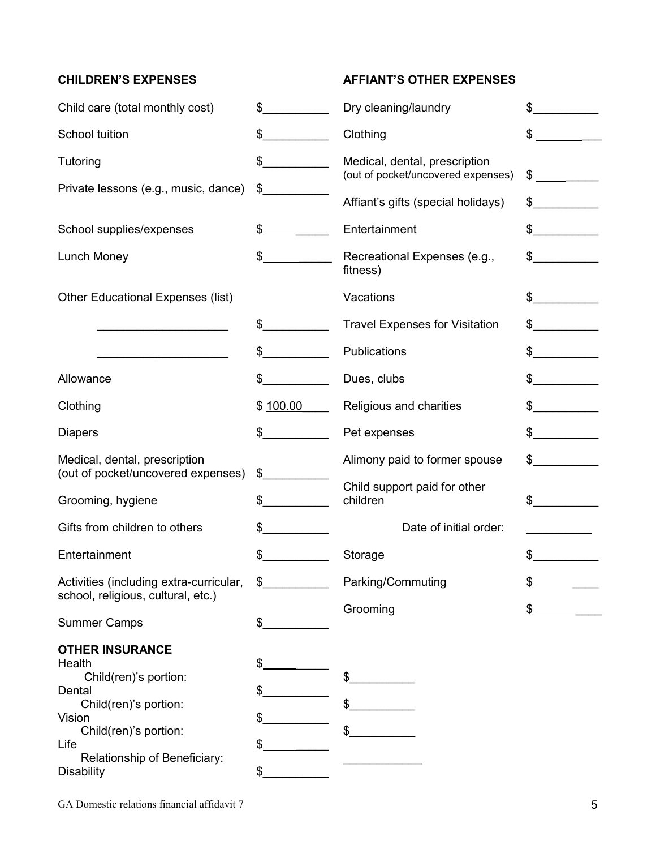# **CHILDREN'S EXPENSES AFFIANT'S OTHER EXPENSES**

| Child care (total monthly cost)                                                                                                                                         | $\sim$                     | Dry cleaning/laundry                                                | \$<br>$\mathbb{R}^n$                                                                                                                                                                                                                                                                                                                                                                                                 |
|-------------------------------------------------------------------------------------------------------------------------------------------------------------------------|----------------------------|---------------------------------------------------------------------|----------------------------------------------------------------------------------------------------------------------------------------------------------------------------------------------------------------------------------------------------------------------------------------------------------------------------------------------------------------------------------------------------------------------|
| School tuition                                                                                                                                                          | $\sim$                     | Clothing                                                            | \$                                                                                                                                                                                                                                                                                                                                                                                                                   |
| Tutoring                                                                                                                                                                | $\sim$                     | Medical, dental, prescription<br>(out of pocket/uncovered expenses) | \$<br><u>and a strong part of the strong part of the strong part of the strong part of the strong part of the strong par</u>                                                                                                                                                                                                                                                                                         |
| Private lessons (e.g., music, dance)                                                                                                                                    | $\frac{2}{3}$              | Affiant's gifts (special holidays)                                  | $\frac{1}{2}$                                                                                                                                                                                                                                                                                                                                                                                                        |
| School supplies/expenses                                                                                                                                                | $\sim$                     | Entertainment                                                       | $\frac{1}{2}$                                                                                                                                                                                                                                                                                                                                                                                                        |
| Lunch Money                                                                                                                                                             | $\frac{1}{2}$              | Recreational Expenses (e.g.,<br>fitness)                            | $\frac{1}{2}$                                                                                                                                                                                                                                                                                                                                                                                                        |
| <b>Other Educational Expenses (list)</b>                                                                                                                                |                            | Vacations                                                           | $\sim$                                                                                                                                                                                                                                                                                                                                                                                                               |
|                                                                                                                                                                         | \$                         | <b>Travel Expenses for Visitation</b>                               | $\frac{1}{2}$                                                                                                                                                                                                                                                                                                                                                                                                        |
|                                                                                                                                                                         | $\frac{1}{2}$              | Publications                                                        | $\frac{1}{2}$                                                                                                                                                                                                                                                                                                                                                                                                        |
| Allowance                                                                                                                                                               | \$                         | Dues, clubs                                                         | \$                                                                                                                                                                                                                                                                                                                                                                                                                   |
| Clothing                                                                                                                                                                | \$100.00                   | Religious and charities                                             | $\frac{1}{\sqrt{2}}$                                                                                                                                                                                                                                                                                                                                                                                                 |
| <b>Diapers</b>                                                                                                                                                          | $\mathbb{S}$               | Pet expenses                                                        | $\frac{1}{\sqrt{1-\frac{1}{2}}\sqrt{1-\frac{1}{2}}\sqrt{1-\frac{1}{2}}\sqrt{1-\frac{1}{2}}\sqrt{1-\frac{1}{2}}\sqrt{1-\frac{1}{2}}\sqrt{1-\frac{1}{2}}\sqrt{1-\frac{1}{2}}\sqrt{1-\frac{1}{2}}\sqrt{1-\frac{1}{2}}\sqrt{1-\frac{1}{2}}\sqrt{1-\frac{1}{2}}\sqrt{1-\frac{1}{2}}\sqrt{1-\frac{1}{2}}\sqrt{1-\frac{1}{2}}\sqrt{1-\frac{1}{2}}\sqrt{1-\frac{1}{2}}\sqrt{1-\frac{1}{2}}\sqrt{1-\frac{1}{2}}\sqrt{1-\frac$ |
| Medical, dental, prescription<br>(out of pocket/uncovered expenses)                                                                                                     | $\frac{1}{2}$              | Alimony paid to former spouse                                       | $\frac{1}{2}$                                                                                                                                                                                                                                                                                                                                                                                                        |
| Grooming, hygiene                                                                                                                                                       | \$                         | Child support paid for other<br>children                            | $\sim$                                                                                                                                                                                                                                                                                                                                                                                                               |
| Gifts from children to others                                                                                                                                           | $\sim$                     | Date of initial order:                                              |                                                                                                                                                                                                                                                                                                                                                                                                                      |
| Entertainment                                                                                                                                                           | $\sim$                     | Storage                                                             | \$                                                                                                                                                                                                                                                                                                                                                                                                                   |
| Activities (including extra-curricular,<br>school, religious, cultural, etc.)                                                                                           | $\frac{1}{2}$              | Parking/Commuting                                                   | P                                                                                                                                                                                                                                                                                                                                                                                                                    |
| <b>Summer Camps</b>                                                                                                                                                     | \$                         | Grooming                                                            | \$                                                                                                                                                                                                                                                                                                                                                                                                                   |
| <b>OTHER INSURANCE</b><br>Health<br>Child(ren)'s portion:<br>Dental<br>Child(ren)'s portion:<br>Vision<br>Child(ren)'s portion:<br>Life<br>Relationship of Beneficiary: | \$<br>\$<br>\$<br>\$<br>\$ | \$                                                                  |                                                                                                                                                                                                                                                                                                                                                                                                                      |
| <b>Disability</b>                                                                                                                                                       |                            |                                                                     |                                                                                                                                                                                                                                                                                                                                                                                                                      |